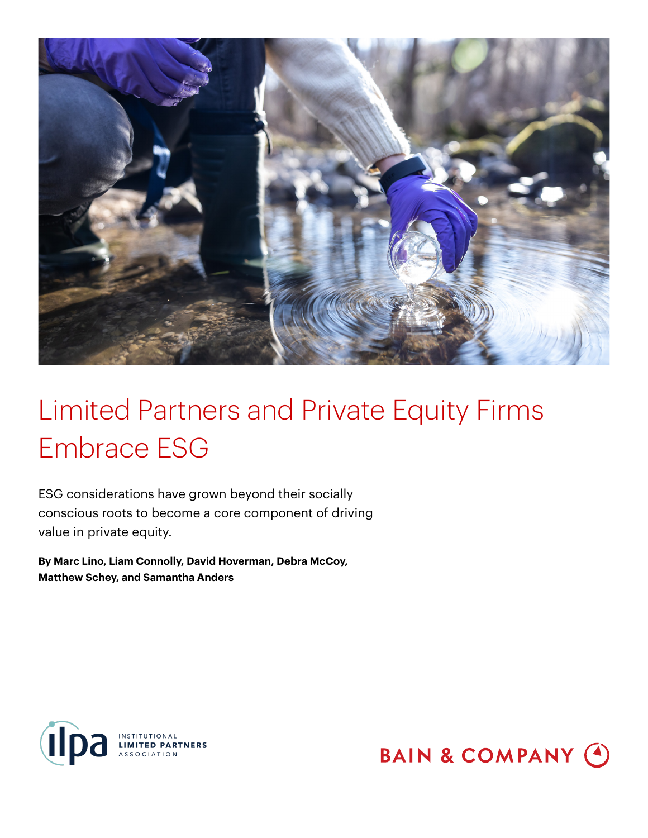

ESG considerations have grown beyond their socially conscious roots to become a core component of driving value in private equity.

**By Marc Lino, Liam Connolly, David Hoverman, Debra McCoy, Matthew Schey, and Samantha Anders**



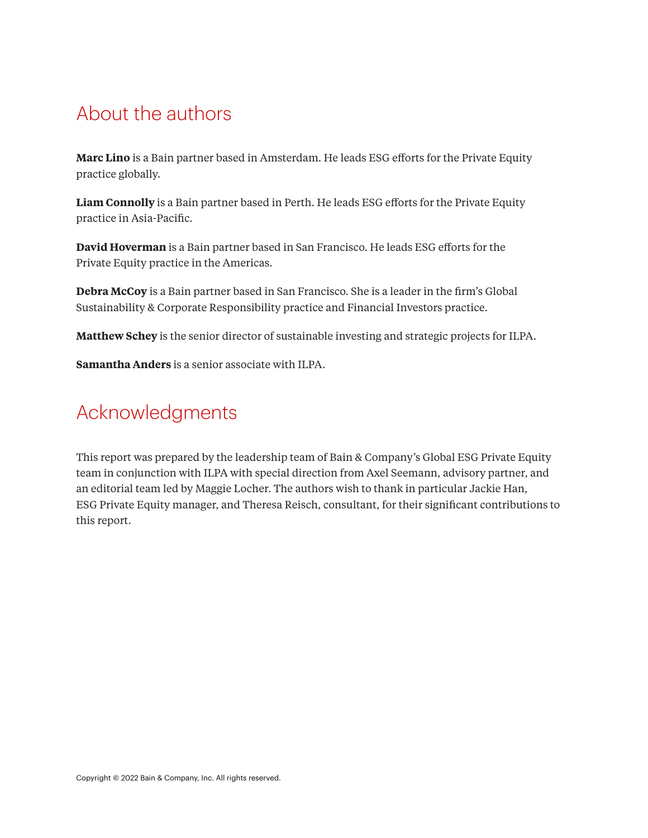## About the authors

**Marc Lino** is a Bain partner based in Amsterdam. He leads ESG efforts for the Private Equity practice globally.

**Liam Connolly** is a Bain partner based in Perth. He leads ESG efforts for the Private Equity practice in Asia-Pacific.

**David Hoverman** is a Bain partner based in San Francisco. He leads ESG efforts for the Private Equity practice in the Americas.

**Debra McCoy** is a Bain partner based in San Francisco. She is a leader in the firm's Global Sustainability & Corporate Responsibility practice and Financial Investors practice.

**Matthew Schey** is the senior director of sustainable investing and strategic projects for ILPA.

**Samantha Anders** is a senior associate with ILPA.

## Acknowledgments

This report was prepared by the leadership team of Bain & Company's Global ESG Private Equity team in conjunction with ILPA with special direction from Axel Seemann, advisory partner, and an editorial team led by Maggie Locher. The authors wish to thank in particular Jackie Han, ESG Private Equity manager, and Theresa Reisch, consultant, for their significant contributions to this report.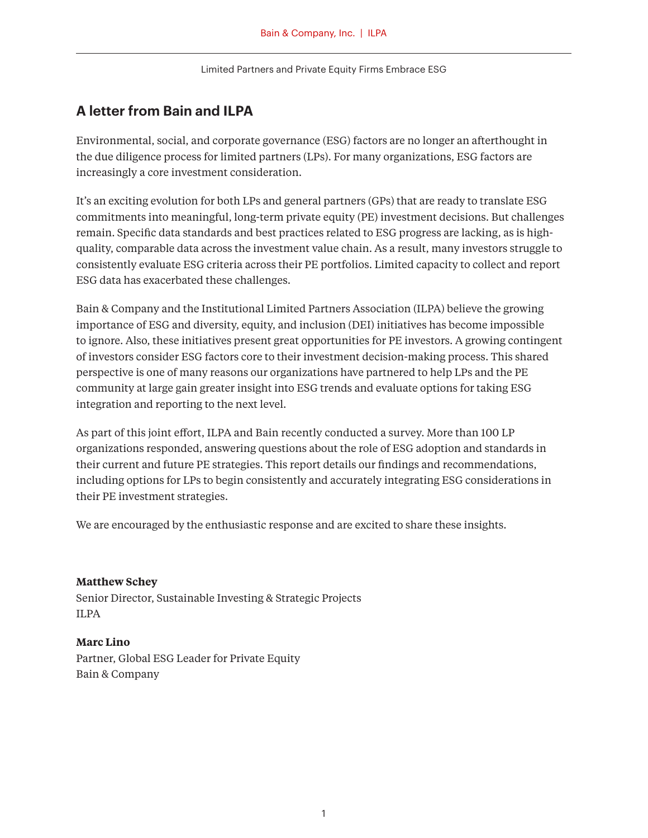## **A letter from Bain and ILPA**

Environmental, social, and corporate governance (ESG) factors are no longer an afterthought in the due diligence process for limited partners (LPs). For many organizations, ESG factors are increasingly a core investment consideration.

It's an exciting evolution for both LPs and general partners (GPs) that are ready to translate ESG commitments into meaningful, long-term private equity (PE) investment decisions. But challenges remain. Specific data standards and best practices related to ESG progress are lacking, as is highquality, comparable data across the investment value chain. As a result, many investors struggle to consistently evaluate ESG criteria across their PE portfolios. Limited capacity to collect and report ESG data has exacerbated these challenges.

Bain & Company and the Institutional Limited Partners Association (ILPA) believe the growing importance of ESG and diversity, equity, and inclusion (DEI) initiatives has become impossible to ignore. Also, these initiatives present great opportunities for PE investors. A growing contingent of investors consider ESG factors core to their investment decision-making process. This shared perspective is one of many reasons our organizations have partnered to help LPs and the PE community at large gain greater insight into ESG trends and evaluate options for taking ESG integration and reporting to the next level.

As part of this joint effort, ILPA and Bain recently conducted a survey. More than 100 LP organizations responded, answering questions about the role of ESG adoption and standards in their current and future PE strategies. This report details our findings and recommendations, including options for LPs to begin consistently and accurately integrating ESG considerations in their PE investment strategies.

We are encouraged by the enthusiastic response and are excited to share these insights.

#### **Matthew Schey**

Senior Director, Sustainable Investing & Strategic Projects ILPA

#### **Marc Lino**

Partner, Global ESG Leader for Private Equity Bain & Company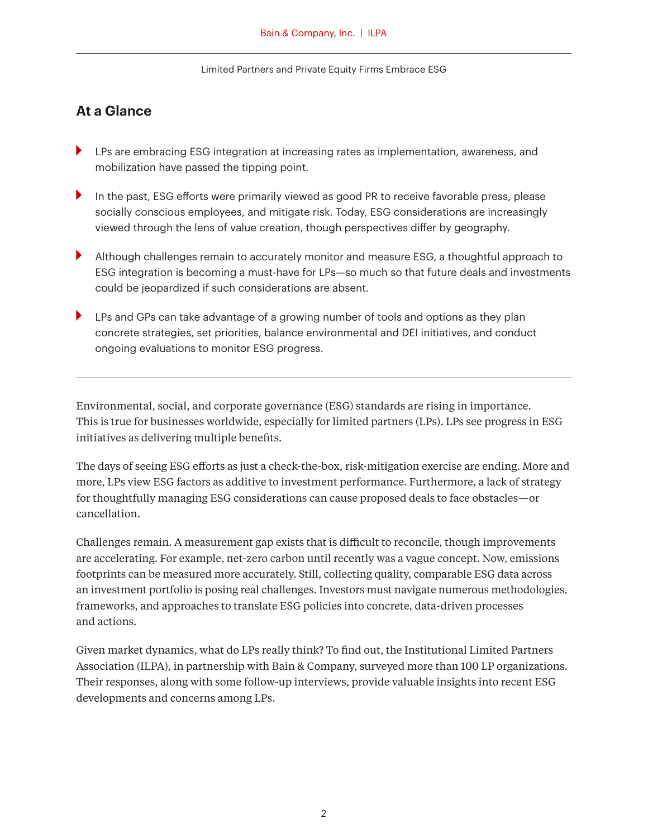### **At a Glance**

- LPs are embracing ESG integration at increasing rates as implementation, awareness, and mobilization have passed the tipping point.
- In the past, ESG efforts were primarily viewed as good PR to receive favorable press, please socially conscious employees, and mitigate risk. Today, ESG considerations are increasingly viewed through the lens of value creation, though perspectives differ by geography.
- Although challenges remain to accurately monitor and measure ESG, a thoughtful approach to ESG integration is becoming a must-have for LPs—so much so that future deals and investments could be jeopardized if such considerations are absent.
- **LPs and GPs can take advantage of a growing number of tools and options as they plan** concrete strategies, set priorities, balance environmental and DEI initiatives, and conduct ongoing evaluations to monitor ESG progress.

Environmental, social, and corporate governance (ESG) standards are rising in importance. This is true for businesses worldwide, especially for limited partners (LPs). LPs see progress in ESG initiatives as delivering multiple benefits.

The days of seeing ESG efforts as just a check-the-box, risk-mitigation exercise are ending. More and more, LPs view ESG factors as additive to investment performance. Furthermore, a lack of strategy for thoughtfully managing ESG considerations can cause proposed deals to face obstacles—or cancellation.

Challenges remain. A measurement gap exists that is difficult to reconcile, though improvements are accelerating. For example, net-zero carbon until recently was a vague concept. Now, emissions footprints can be measured more accurately. Still, collecting quality, comparable ESG data across an investment portfolio is posing real challenges. Investors must navigate numerous methodologies, frameworks, and approaches to translate ESG policies into concrete, data-driven processes and actions.

Given market dynamics, what do LPs really think? To find out, the Institutional Limited Partners Association (ILPA), in partnership with Bain & Company, surveyed more than 100 LP organizations. Their responses, along with some follow-up interviews, provide valuable insights into recent ESG developments and concerns among LPs.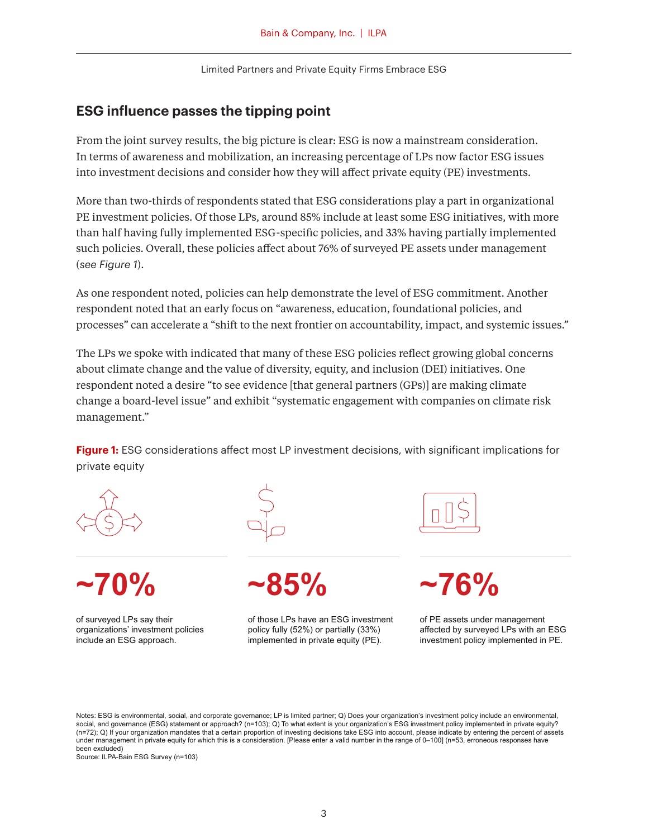### **ESG influence passes the tipping point**

From the joint survey results, the big picture is clear: ESG is now a mainstream consideration. In terms of awareness and mobilization, an increasing percentage of LPs now factor ESG issues into investment decisions and consider how they will affect private equity (PE) investments.

More than two-thirds of respondents stated that ESG considerations play a part in organizational PE investment policies. Of those LPs, around 85% include at least some ESG initiatives, with more than half having fully implemented ESG-specific policies, and 33% having partially implemented such policies. Overall, these policies affect about 76% of surveyed PE assets under management (*see Figure 1*).

As one respondent noted, policies can help demonstrate the level of ESG commitment. Another respondent noted that an early focus on "awareness, education, foundational policies, and processes" can accelerate a "shift to the next frontier on accountability, impact, and systemic issues."

The LPs we spoke with indicated that many of these ESG policies reflect growing global concerns about climate change and the value of diversity, equity, and inclusion (DEI) initiatives. One respondent noted a desire "to see evidence [that general partners (GPs)] are making climate change a board-level issue" and exhibit "systematic engagement with companies on climate risk management."

**Figure 1:** ESG considerations affect most LP investment decisions, with significant implications for private equity





of surveyed LPs say their organizations' investment policies include an ESG approach.

**~70% ~85% ~76%**

of those LPs have an ESG investment policy fully (52%) or partially (33%) implemented in private equity (PE).



of PE assets under management affected by surveyed LPs with an ESG investment policy implemented in PE.

Notes: ESG is environmental, social, and corporate governance; LP is limited partner; Q) Does your organization's investment policy include an environmental, social, and governance (ESG) statement or approach? (n=103); Q) To what extent is your organization's ESG investment policy implemented in private equity? (n=72); Q) If your organization mandates that a certain proportion of investing decisions take ESG into account, please indicate by entering the percent of assets under management in private equity for which this is a consideration. [Please enter a valid number in the range of 0-100] (n=53, erroneous responses have been excluded)

Source: ILPA-Bain ESG Survey (n=103)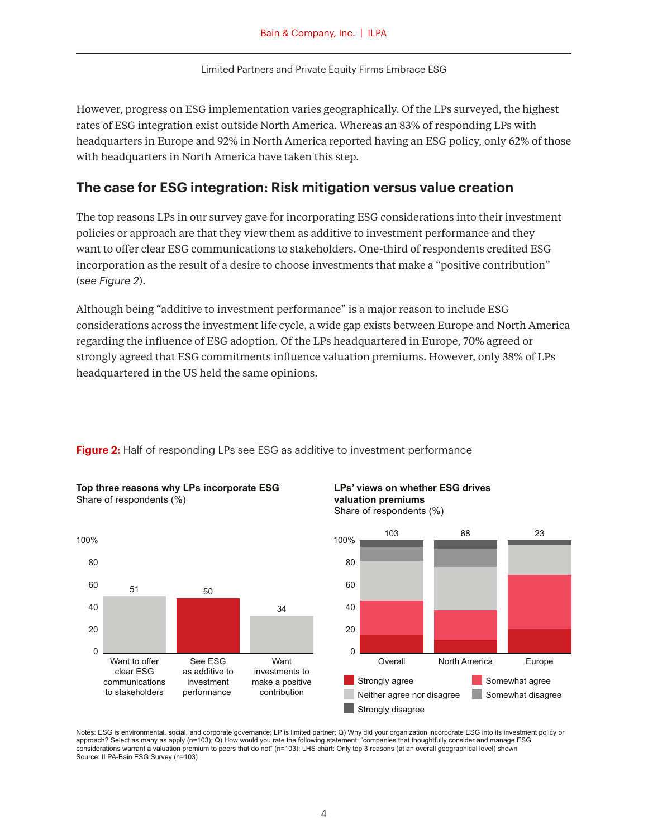However, progress on ESG implementation varies geographically. Of the LPs surveyed, the highest rates of ESG integration exist outside North America. Whereas an 83% of responding LPs with headquarters in Europe and 92% in North America reported having an ESG policy, only 62% of those with headquarters in North America have taken this step.

### **The case for ESG integration: Risk mitigation versus value creation**

The top reasons LPs in our survey gave for incorporating ESG considerations into their investment policies or approach are that they view them as additive to investment performance and they want to offer clear ESG communications to stakeholders. One-third of respondents credited ESG incorporation as the result of a desire to choose investments that make a "positive contribution" (*see Figure 2*).

Although being "additive to investment performance" is a major reason to include ESG considerations across the investment life cycle, a wide gap exists between Europe and North America regarding the influence of ESG adoption. Of the LPs headquartered in Europe, 70% agreed or strongly agreed that ESG commitments influence valuation premiums. However, only 38% of LPs headquartered in the US held the same opinions.



**Top three reasons why LPs incorporate ESG**

Share of respondents (%)

## **Figure 2:** Half of responding LPs see ESG as additive to investment performance





Notes: ESG is environmental, social, and corporate governance; LP is limited partner; Q) Why did your organization incorporate ESG into its investment policy or approach? Select as many as apply (n=103); Q) How would you rate the following statement: "companies that thoughtfully consider and manage ESG considerations warrant a valuation premium to peers that do not" (n=103); LHS chart: Only top 3 reasons (at an overall geographical level) shown Source: ILPA-Bain ESG Survey (n=103)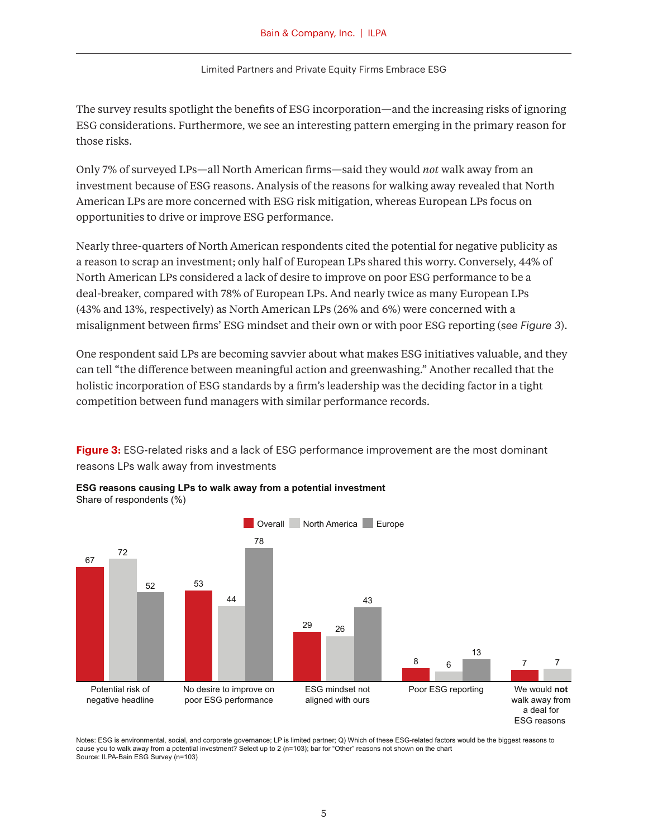The survey results spotlight the benefits of ESG incorporation—and the increasing risks of ignoring ESG considerations. Furthermore, we see an interesting pattern emerging in the primary reason for those risks.

Only 7% of surveyed LPs—all North American firms—said they would *not* walk away from an investment because of ESG reasons. Analysis of the reasons for walking away revealed that North American LPs are more concerned with ESG risk mitigation, whereas European LPs focus on opportunities to drive or improve ESG performance.

Nearly three-quarters of North American respondents cited the potential for negative publicity as a reason to scrap an investment; only half of European LPs shared this worry. Conversely, 44% of North American LPs considered a lack of desire to improve on poor ESG performance to be a deal-breaker, compared with 78% of European LPs. And nearly twice as many European LPs (43% and 13%, respectively) as North American LPs (26% and 6%) were concerned with a misalignment between firms' ESG mindset and their own or with poor ESG reporting (*see Figure 3*).

One respondent said LPs are becoming savvier about what makes ESG initiatives valuable, and they can tell "the difference between meaningful action and greenwashing." Another recalled that the holistic incorporation of ESG standards by a firm's leadership was the deciding factor in a tight competition between fund managers with similar performance records.

**Figure 3:** ESG-related risks and a lack of ESG performance improvement are the most dominant reasons LPs walk away from investments



**ESG reasons causing LPs to walk away from a potential investment**  Share of respondents (%)

Notes: ESG is environmental, social, and corporate governance; LP is limited partner; Q) Which of these ESG-related factors would be the biggest reasons to cause you to walk away from a potential investment? Select up to 2 (n=103); bar for "Other" reasons not shown on the chart Source: ILPA-Bain ESG Survey (n=103)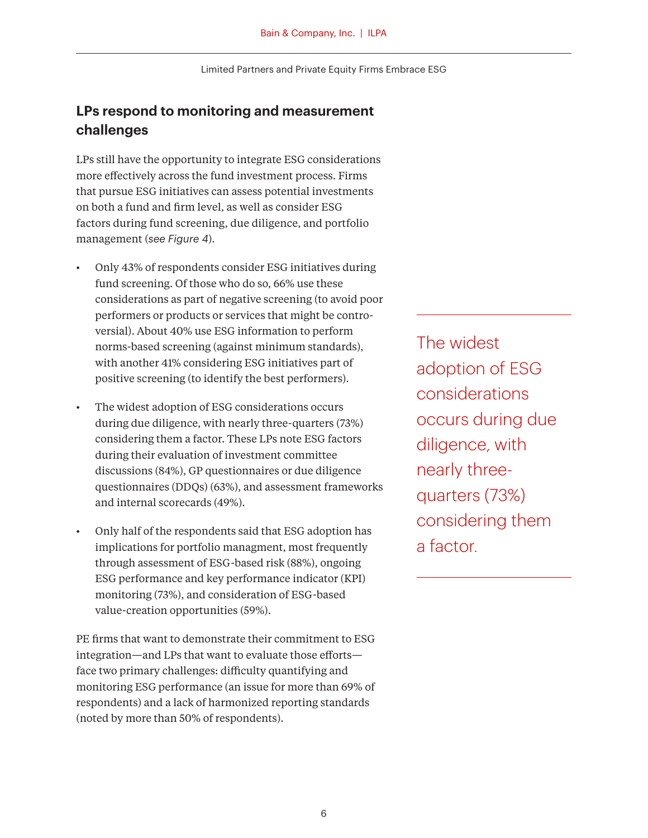## **LPs respond to monitoring and measurement challenges**

LPs still have the opportunity to integrate ESG considerations more effectively across the fund investment process. Firms that pursue ESG initiatives can assess potential investments on both a fund and firm level, as well as consider ESG factors during fund screening, due diligence, and portfolio management (*see Figure 4*).

- Only 43% of respondents consider ESG initiatives during fund screening. Of those who do so, 66% use these considerations as part of negative screening (to avoid poor performers or products or services that might be controversial). About 40% use ESG information to perform norms-based screening (against minimum standards), with another 41% considering ESG initiatives part of positive screening (to identify the best performers).
- The widest adoption of ESG considerations occurs during due diligence, with nearly three-quarters (73%) considering them a factor. These LPs note ESG factors during their evaluation of investment committee discussions (84%), GP questionnaires or due diligence questionnaires (DDQs) (63%), and assessment frameworks and internal scorecards (49%).
- Only half of the respondents said that ESG adoption has implications for portfolio managment, most frequently through assessment of ESG-based risk (88%), ongoing ESG performance and key performance indicator (KPI) monitoring (73%), and consideration of ESG-based value-creation opportunities (59%).

PE firms that want to demonstrate their commitment to ESG integration—and LPs that want to evaluate those efforts face two primary challenges: difficulty quantifying and monitoring ESG performance (an issue for more than 69% of respondents) and a lack of harmonized reporting standards (noted by more than 50% of respondents).

The widest adoption of ESG considerations occurs during due diligence, with nearly threequarters (73%) considering them a factor.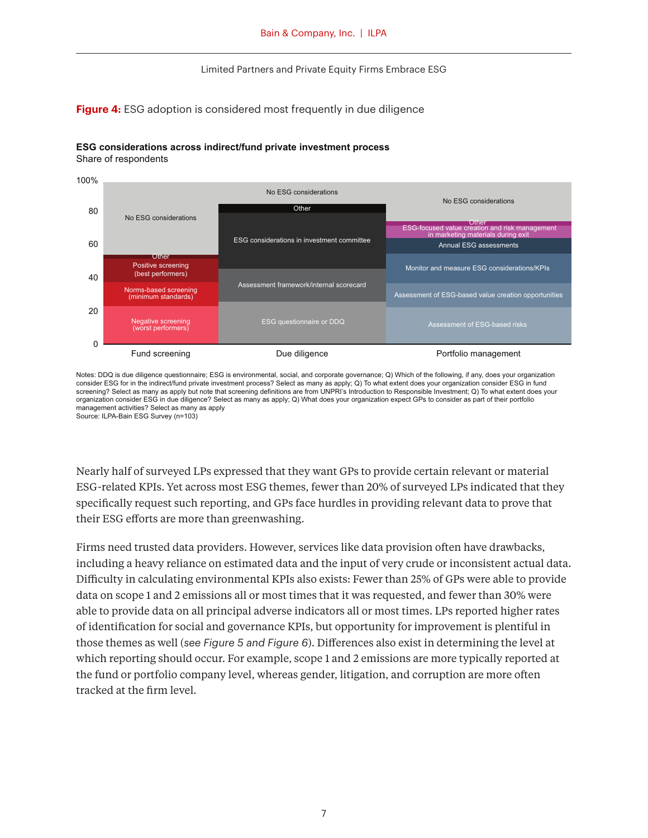#### **Figure 4:** ESG adoption is considered most frequently in due diligence



#### **ESG considerations across indirect/fund private investment process** Share of respondents

Notes: DDQ is due diligence questionnaire; ESG is environmental, social, and corporate governance; Q) Which of the following, if any, does your organization consider ESG for in the indirect/fund private investment process? Select as many as apply; Q) To what extent does your organization consider ESG in fund screening? Select as many as apply but note that screening definitions are from UNPRI's Introduction to Responsible Investment; Q) To what extent does your organization consider ESG in due diligence? Select as many as apply; Q) What does your organization expect GPs to consider as part of their portfolio management activities? Select as many as apply Source: ILPA-Bain ESG Survey (n=103)

Nearly half of surveyed LPs expressed that they want GPs to provide certain relevant or material ESG-related KPIs. Yet across most ESG themes, fewer than 20% of surveyed LPs indicated that they specifically request such reporting, and GPs face hurdles in providing relevant data to prove that their ESG efforts are more than greenwashing.

Firms need trusted data providers. However, services like data provision often have drawbacks, including a heavy reliance on estimated data and the input of very crude or inconsistent actual data. Difficulty in calculating environmental KPIs also exists: Fewer than 25% of GPs were able to provide data on scope 1 and 2 emissions all or most times that it was requested, and fewer than 30% were able to provide data on all principal adverse indicators all or most times. LPs reported higher rates of identification for social and governance KPIs, but opportunity for improvement is plentiful in those themes as well (*see Figure 5 and Figure 6*). Differences also exist in determining the level at which reporting should occur. For example, scope 1 and 2 emissions are more typically reported at the fund or portfolio company level, whereas gender, litigation, and corruption are more often tracked at the firm level.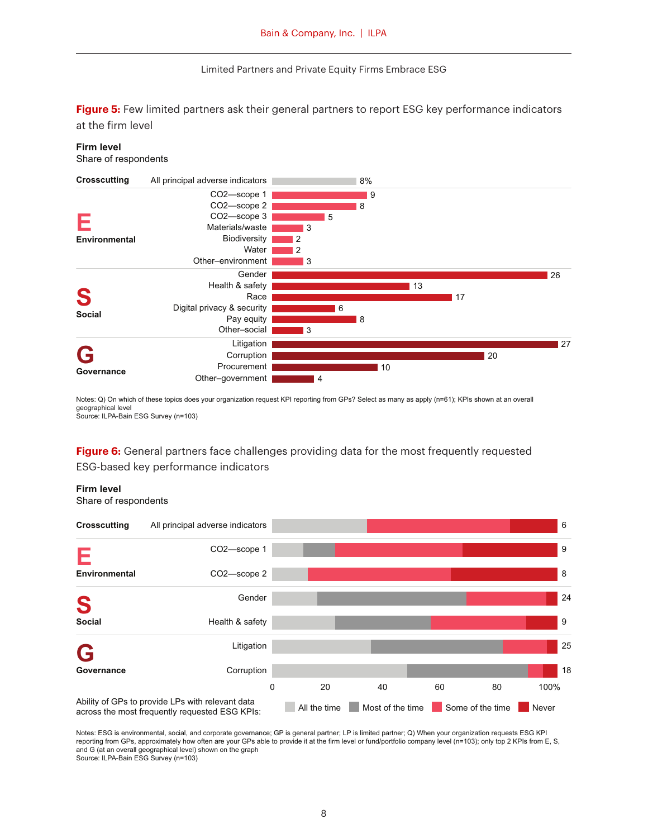**Figure 5:** Few limited partners ask their general partners to report ESG key performance indicators at the firm level

#### **Firm level**

Share of respondents



Notes: Q) On which of these topics does your organization request KPI reporting from GPs? Select as many as apply (n=61); KPIs shown at an overall geographical level Source: ILPA-Bain ESG Survey (n=103)

**Figure 6:** General partners face challenges providing data for the most frequently requested ESG-based key performance indicators

**Firm level**

Share of respondents



Notes: ESG is environmental, social, and corporate governance; GP is general partner; LP is limited partner; Q) When your organization requests ESG KPI reporting from GPs, approximately how often are your GPs able to provide it at the firm level or fund/portfolio company level (n=103); only top 2 KPIs from E, S, and G (at an overall geographical level) shown on the graph Source: ILPA-Bain ESG Survey (n=103)

8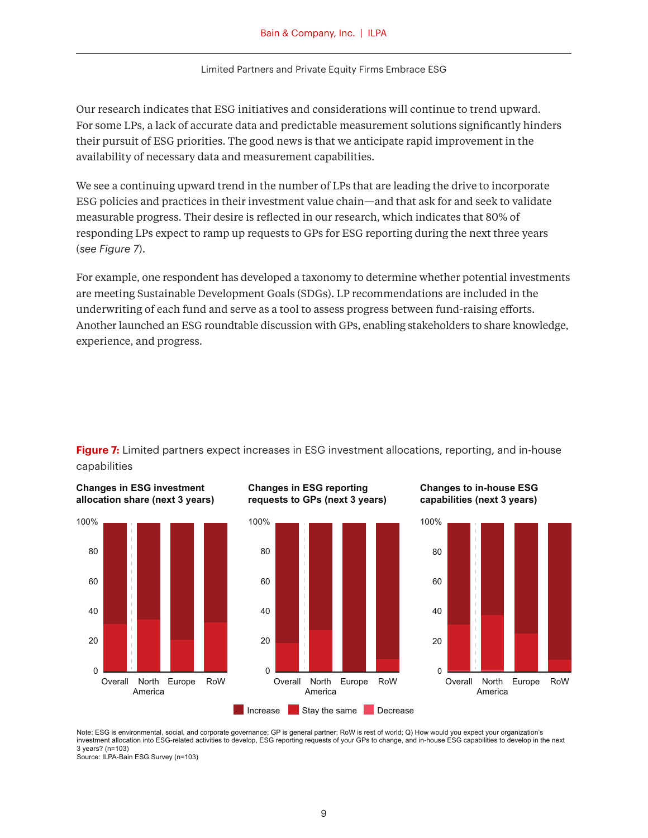Our research indicates that ESG initiatives and considerations will continue to trend upward. For some LPs, a lack of accurate data and predictable measurement solutions significantly hinders their pursuit of ESG priorities. The good news is that we anticipate rapid improvement in the availability of necessary data and measurement capabilities.

We see a continuing upward trend in the number of LPs that are leading the drive to incorporate ESG policies and practices in their investment value chain—and that ask for and seek to validate measurable progress. Their desire is reflected in our research, which indicates that 80% of responding LPs expect to ramp up requests to GPs for ESG reporting during the next three years (*see Figure 7*).

For example, one respondent has developed a taxonomy to determine whether potential investments are meeting Sustainable Development Goals (SDGs). LP recommendations are included in the underwriting of each fund and serve as a tool to assess progress between fund-raising efforts. Another launched an ESG roundtable discussion with GPs, enabling stakeholders to share knowledge, experience, and progress.





**Changes in ESG investment** 





**Changes to in-house ESG capabilities (next 3 years)**



Note: ESG is environmental, social, and corporate governance; GP is general partner; RoW is rest of world; Q) How would you expect your organization's investment allocation into ESG-related activities to develop, ESG reporting requests of your GPs to change, and in-house ESG capabilities to develop in the next 3 years? (n=103)

Source: ILPA-Bain ESG Survey (n=103)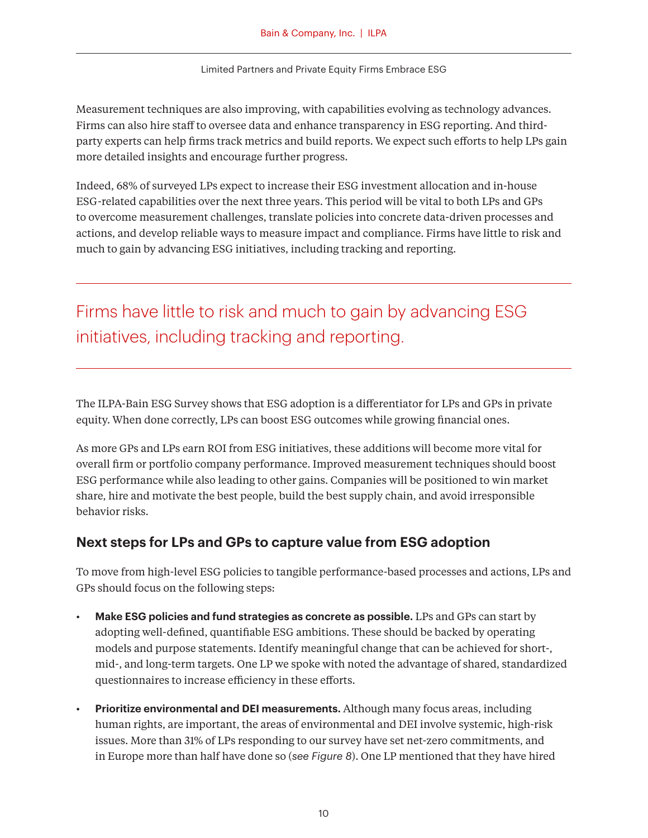Measurement techniques are also improving, with capabilities evolving as technology advances. Firms can also hire staff to oversee data and enhance transparency in ESG reporting. And thirdparty experts can help firms track metrics and build reports. We expect such efforts to help LPs gain more detailed insights and encourage further progress.

Indeed, 68% of surveyed LPs expect to increase their ESG investment allocation and in-house ESG-related capabilities over the next three years. This period will be vital to both LPs and GPs to overcome measurement challenges, translate policies into concrete data-driven processes and actions, and develop reliable ways to measure impact and compliance. Firms have little to risk and much to gain by advancing ESG initiatives, including tracking and reporting.

## Firms have little to risk and much to gain by advancing ESG initiatives, including tracking and reporting.

The ILPA-Bain ESG Survey shows that ESG adoption is a differentiator for LPs and GPs in private equity. When done correctly, LPs can boost ESG outcomes while growing financial ones.

As more GPs and LPs earn ROI from ESG initiatives, these additions will become more vital for overall firm or portfolio company performance. Improved measurement techniques should boost ESG performance while also leading to other gains. Companies will be positioned to win market share, hire and motivate the best people, build the best supply chain, and avoid irresponsible behavior risks.

### **Next steps for LPs and GPs to capture value from ESG adoption**

To move from high-level ESG policies to tangible performance-based processes and actions, LPs and GPs should focus on the following steps:

- **Make ESG policies and fund strategies as concrete as possible.** LPs and GPs can start by adopting well-defined, quantifiable ESG ambitions. These should be backed by operating models and purpose statements. Identify meaningful change that can be achieved for short-, mid-, and long-term targets. One LP we spoke with noted the advantage of shared, standardized questionnaires to increase efficiency in these efforts.
- **Prioritize environmental and DEI measurements.** Although many focus areas, including human rights, are important, the areas of environmental and DEI involve systemic, high-risk issues. More than 31% of LPs responding to our survey have set net-zero commitments, and in Europe more than half have done so (*see Figure 8*). One LP mentioned that they have hired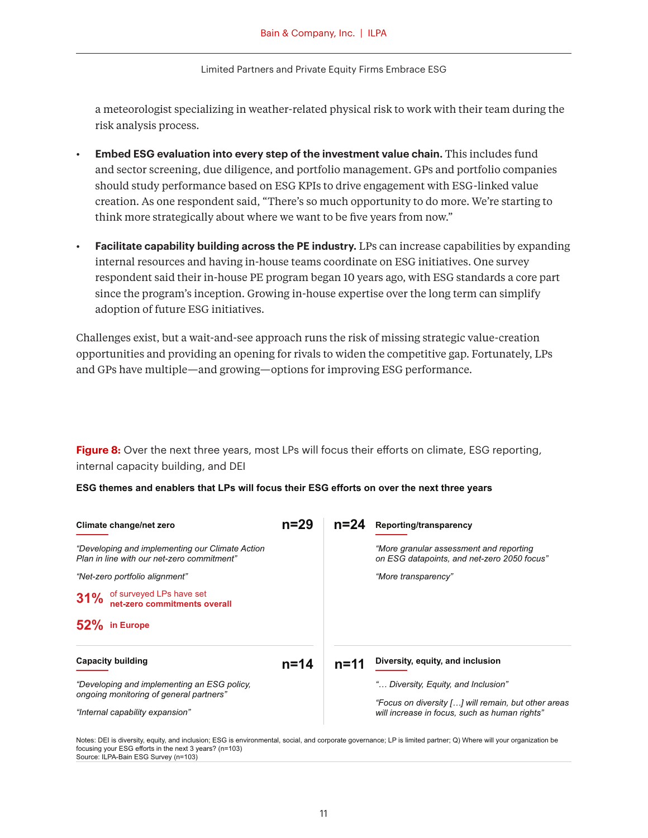a meteorologist specializing in weather-related physical risk to work with their team during the risk analysis process.

- **Embed ESG evaluation into every step of the investment value chain.** This includes fund and sector screening, due diligence, and portfolio management. GPs and portfolio companies should study performance based on ESG KPIs to drive engagement with ESG-linked value creation. As one respondent said, "There's so much opportunity to do more. We're starting to think more strategically about where we want to be five years from now."
- **Facilitate capability building across the PE industry.** LPs can increase capabilities by expanding internal resources and having in-house teams coordinate on ESG initiatives. One survey respondent said their in-house PE program began 10 years ago, with ESG standards a core part since the program's inception. Growing in-house expertise over the long term can simplify adoption of future ESG initiatives.

Challenges exist, but a wait-and-see approach runs the risk of missing strategic value-creation opportunities and providing an opening for rivals to widen the competitive gap. Fortunately, LPs and GPs have multiple—and growing—options for improving ESG performance.

**Figure 8:** Over the next three years, most LPs will focus their efforts on climate, ESG reporting, internal capacity building, and DEI

**ESG themes and enablers that LPs will focus their ESG efforts on over the next three years**

| Climate change/net zero                                                                       | $n=29$   | $n = 24$ | Reporting/transparency                                                                 |
|-----------------------------------------------------------------------------------------------|----------|----------|----------------------------------------------------------------------------------------|
| "Developing and implementing our Climate Action<br>Plan in line with our net-zero commitment" |          |          | "More granular assessment and reporting<br>on ESG datapoints, and net-zero 2050 focus" |
| "Net-zero portfolio alignment"                                                                |          |          | "More transparency"                                                                    |
| of surveyed LPs have set<br>net-zero commitments overall<br>31%                               |          |          |                                                                                        |
| 52% in Europe                                                                                 |          |          |                                                                                        |
| <b>Capacity building</b>                                                                      | $n = 14$ | $n = 11$ | Diversity, equity, and inclusion                                                       |
| "Developing and implementing an ESG policy,<br>ongoing monitoring of general partners"        |          |          | " Diversity, Equity, and Inclusion"                                                    |
|                                                                                               |          |          | "Focus on diversity [] will remain, but other areas                                    |
| "Internal capability expansion"                                                               |          |          | will increase in focus, such as human rights"                                          |

Notes: DEI is diversity, equity, and inclusion; ESG is environmental, social, and corporate governance; LP is limited partner; Q) Where will your organization be focusing your ESG efforts in the next 3 years? (n=103) Source: ILPA-Bain ESG Survey (n=103)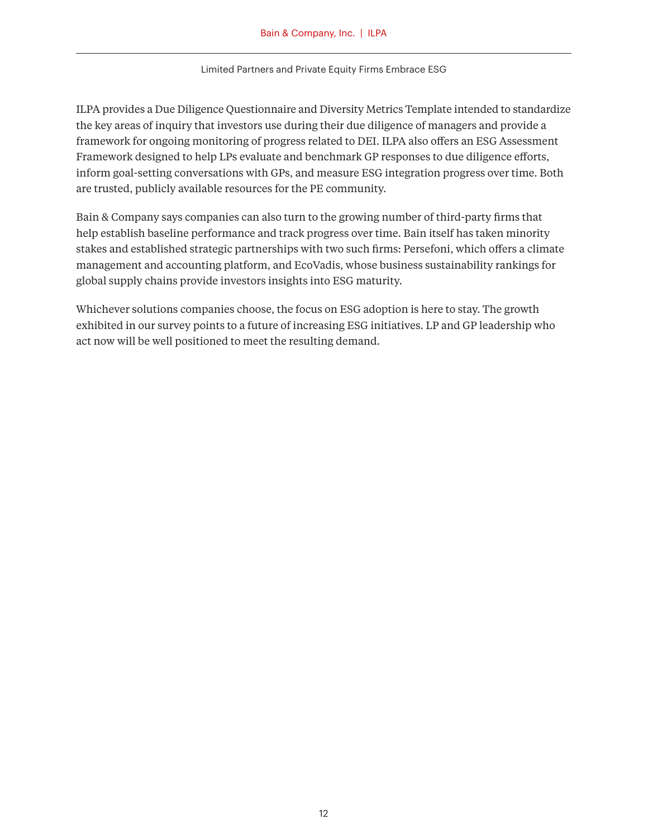ILPA provides a Due Diligence Questionnaire and Diversity Metrics Template intended to standardize the key areas of inquiry that investors use during their due diligence of managers and provide a framework for ongoing monitoring of progress related to DEI. ILPA also offers an ESG Assessment Framework designed to help LPs evaluate and benchmark GP responses to due diligence efforts, inform goal-setting conversations with GPs, and measure ESG integration progress over time. Both are trusted, publicly available resources for the PE community.

Bain & Company says companies can also turn to the growing number of third-party firms that help establish baseline performance and track progress over time. Bain itself has taken minority stakes and established strategic partnerships with two such firms: Persefoni, which offers a climate management and accounting platform, and EcoVadis, whose business sustainability rankings for global supply chains provide investors insights into ESG maturity.

Whichever solutions companies choose, the focus on ESG adoption is here to stay. The growth exhibited in our survey points to a future of increasing ESG initiatives. LP and GP leadership who act now will be well positioned to meet the resulting demand.